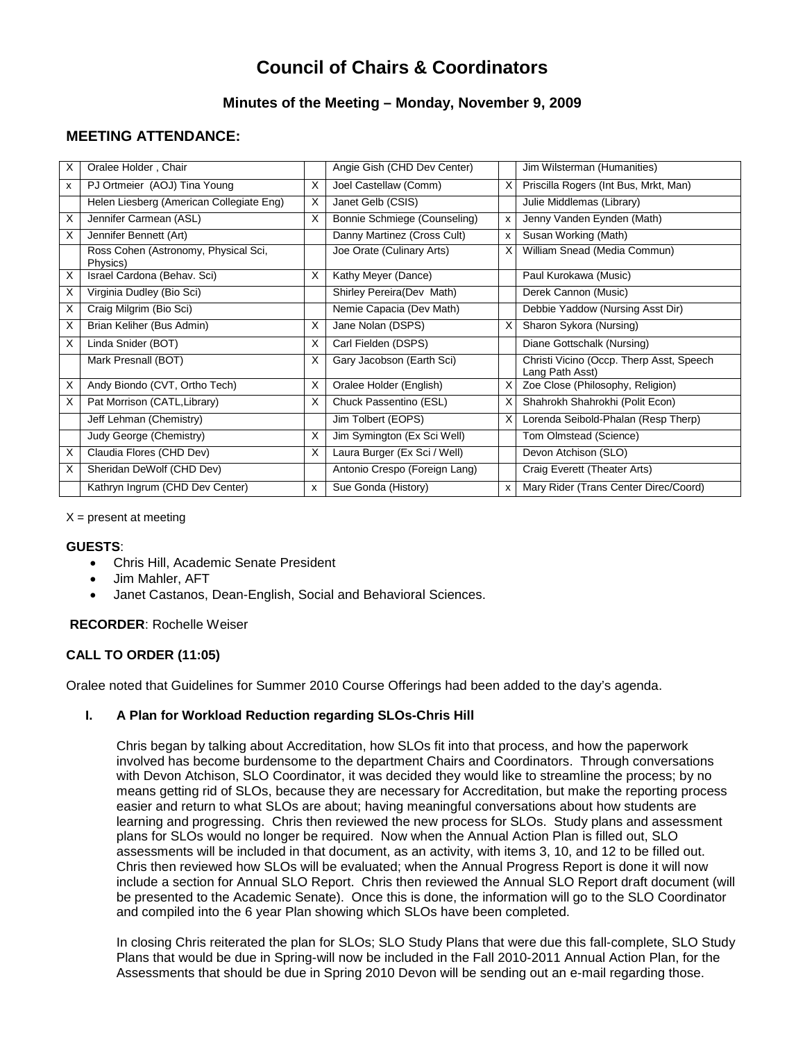# **Council of Chairs & Coordinators**

## **Minutes of the Meeting – Monday, November 9, 2009**

# **MEETING ATTENDANCE:**

| х  | Oralee Holder, Chair                             |              | Angie Gish (CHD Dev Center)   |   | Jim Wilsterman (Humanities)                                 |
|----|--------------------------------------------------|--------------|-------------------------------|---|-------------------------------------------------------------|
| x  | PJ Ortmeier (AOJ) Tina Young                     | X            | Joel Castellaw (Comm)         | X | Priscilla Rogers (Int Bus, Mrkt, Man)                       |
|    | Helen Liesberg (American Collegiate Eng)         | X            | Janet Gelb (CSIS)             |   | Julie Middlemas (Library)                                   |
| X  | Jennifer Carmean (ASL)                           | X            | Bonnie Schmiege (Counseling)  | x | Jenny Vanden Eynden (Math)                                  |
| X  | Jennifer Bennett (Art)                           |              | Danny Martinez (Cross Cult)   | x | Susan Working (Math)                                        |
|    | Ross Cohen (Astronomy, Physical Sci,<br>Physics) |              | Joe Orate (Culinary Arts)     | х | William Snead (Media Commun)                                |
| X  | Israel Cardona (Behav. Sci)                      | X            | Kathy Meyer (Dance)           |   | Paul Kurokawa (Music)                                       |
| X. | Virginia Dudley (Bio Sci)                        |              | Shirley Pereira (Dev Math)    |   | Derek Cannon (Music)                                        |
| X. | Craig Milgrim (Bio Sci)                          |              | Nemie Capacia (Dev Math)      |   | Debbie Yaddow (Nursing Asst Dir)                            |
| X  | Brian Keliher (Bus Admin)                        | X            | Jane Nolan (DSPS)             | X | Sharon Sykora (Nursing)                                     |
| X  | Linda Snider (BOT)                               | X            | Carl Fielden (DSPS)           |   | Diane Gottschalk (Nursing)                                  |
|    | Mark Presnall (BOT)                              | X            | Gary Jacobson (Earth Sci)     |   | Christi Vicino (Occp. Therp Asst, Speech<br>Lang Path Asst) |
| X  | Andy Biondo (CVT, Ortho Tech)                    | X            | Oralee Holder (English)       | X | Zoe Close (Philosophy, Religion)                            |
| X. | Pat Morrison (CATL, Library)                     | X            | Chuck Passentino (ESL)        | х | Shahrokh Shahrokhi (Polit Econ)                             |
|    | Jeff Lehman (Chemistry)                          |              | Jim Tolbert (EOPS)            |   | Lorenda Seibold-Phalan (Resp Therp)                         |
|    | Judy George (Chemistry)                          | X            | Jim Symington (Ex Sci Well)   |   | Tom Olmstead (Science)                                      |
| X  | Claudia Flores (CHD Dev)                         | X            | Laura Burger (Ex Sci / Well)  |   | Devon Atchison (SLO)                                        |
| X  | Sheridan DeWolf (CHD Dev)                        |              | Antonio Crespo (Foreign Lang) |   | Craig Everett (Theater Arts)                                |
|    | Kathryn Ingrum (CHD Dev Center)                  | $\mathsf{x}$ | Sue Gonda (History)           | x | Mary Rider (Trans Center Direc/Coord)                       |

 $X =$  present at meeting

#### **GUESTS**:

- Chris Hill, Academic Senate President
- Jim Mahler, AFT
- Janet Castanos, Dean-English, Social and Behavioral Sciences.

**RECORDER**: Rochelle Weiser

## **CALL TO ORDER (11:05)**

Oralee noted that Guidelines for Summer 2010 Course Offerings had been added to the day's agenda.

#### **I. A Plan for Workload Reduction regarding SLOs-Chris Hill**

Chris began by talking about Accreditation, how SLOs fit into that process, and how the paperwork involved has become burdensome to the department Chairs and Coordinators. Through conversations with Devon Atchison, SLO Coordinator, it was decided they would like to streamline the process; by no means getting rid of SLOs, because they are necessary for Accreditation, but make the reporting process easier and return to what SLOs are about; having meaningful conversations about how students are learning and progressing. Chris then reviewed the new process for SLOs. Study plans and assessment plans for SLOs would no longer be required. Now when the Annual Action Plan is filled out, SLO assessments will be included in that document, as an activity, with items 3, 10, and 12 to be filled out. Chris then reviewed how SLOs will be evaluated; when the Annual Progress Report is done it will now include a section for Annual SLO Report. Chris then reviewed the Annual SLO Report draft document (will be presented to the Academic Senate). Once this is done, the information will go to the SLO Coordinator and compiled into the 6 year Plan showing which SLOs have been completed.

In closing Chris reiterated the plan for SLOs; SLO Study Plans that were due this fall-complete, SLO Study Plans that would be due in Spring-will now be included in the Fall 2010-2011 Annual Action Plan, for the Assessments that should be due in Spring 2010 Devon will be sending out an e-mail regarding those.